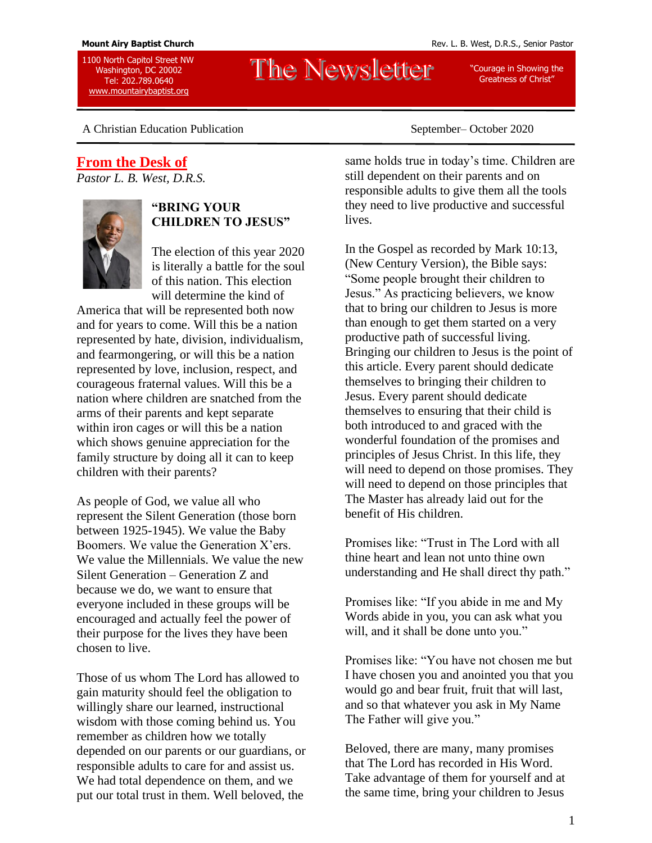1100 North Capitol Street NW Washington, DC 20002 Tel: 202.789.0640 [www.mountairybaptist.org](http://www.mountairybaptist.org/)

# The Newsletter

"Courage in Showing the Greatness of Christ"

A Christian Education Publication September– October 2020

## **From the Desk of**

*Pastor L. B. West, D.R.S.*



### **"BRING YOUR CHILDREN TO JESUS"**

The election of this year 2020 is literally a battle for the soul of this nation. This election will determine the kind of

America that will be represented both now and for years to come. Will this be a nation represented by hate, division, individualism, and fearmongering, or will this be a nation represented by love, inclusion, respect, and courageous fraternal values. Will this be a nation where children are snatched from the arms of their parents and kept separate within iron cages or will this be a nation which shows genuine appreciation for the family structure by doing all it can to keep children with their parents?

As people of God, we value all who represent the Silent Generation (those born between 1925-1945). We value the Baby Boomers. We value the Generation X'ers. We value the Millennials. We value the new Silent Generation – Generation Z and because we do, we want to ensure that everyone included in these groups will be encouraged and actually feel the power of their purpose for the lives they have been chosen to live.

Those of us whom The Lord has allowed to gain maturity should feel the obligation to willingly share our learned, instructional wisdom with those coming behind us. You remember as children how we totally depended on our parents or our guardians, or responsible adults to care for and assist us. We had total dependence on them, and we put our total trust in them. Well beloved, the

same holds true in today's time. Children are still dependent on their parents and on responsible adults to give them all the tools they need to live productive and successful lives.

In the Gospel as recorded by Mark 10:13, (New Century Version), the Bible says: "Some people brought their children to Jesus." As practicing believers, we know that to bring our children to Jesus is more than enough to get them started on a very productive path of successful living. Bringing our children to Jesus is the point of this article. Every parent should dedicate themselves to bringing their children to Jesus. Every parent should dedicate themselves to ensuring that their child is both introduced to and graced with the wonderful foundation of the promises and principles of Jesus Christ. In this life, they will need to depend on those promises. They will need to depend on those principles that The Master has already laid out for the benefit of His children.

Promises like: "Trust in The Lord with all thine heart and lean not unto thine own understanding and He shall direct thy path."

Promises like: "If you abide in me and My Words abide in you, you can ask what you will, and it shall be done unto you."

Promises like: "You have not chosen me but I have chosen you and anointed you that you would go and bear fruit, fruit that will last, and so that whatever you ask in My Name The Father will give you."

Beloved, there are many, many promises that The Lord has recorded in His Word. Take advantage of them for yourself and at the same time, bring your children to Jesus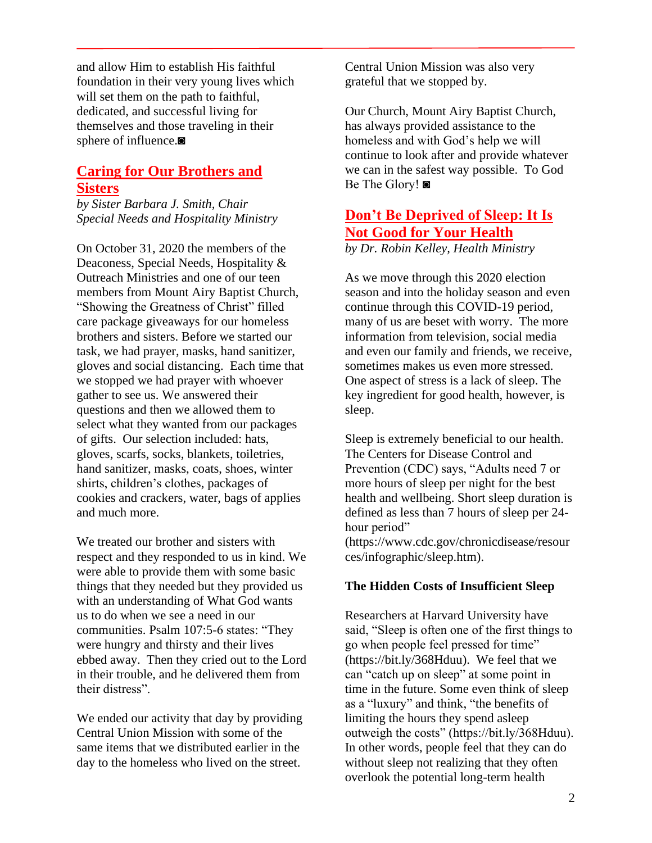and allow Him to establish His faithful foundation in their very young lives which will set them on the path to faithful, dedicated, and successful living for themselves and those traveling in their sphere of influence.◙

## **Caring for Our Brothers and Sisters**

*by Sister Barbara J. Smith, Chair Special Needs and Hospitality Ministry* 

On October 31, 2020 the members of the Deaconess, Special Needs, Hospitality & Outreach Ministries and one of our teen members from Mount Airy Baptist Church, "Showing the Greatness of Christ" filled care package giveaways for our homeless brothers and sisters. Before we started our task, we had prayer, masks, hand sanitizer, gloves and social distancing. Each time that we stopped we had prayer with whoever gather to see us. We answered their questions and then we allowed them to select what they wanted from our packages of gifts. Our selection included: hats, gloves, scarfs, socks, blankets, toiletries, hand sanitizer, masks, coats, shoes, winter shirts, children's clothes, packages of cookies and crackers, water, bags of applies and much more.

We treated our brother and sisters with respect and they responded to us in kind. We were able to provide them with some basic things that they needed but they provided us with an understanding of What God wants us to do when we see a need in our communities. Psalm 107:5-6 states: "They were hungry and thirsty and their lives ebbed away. Then they cried out to the Lord in their trouble, and he delivered them from their distress".

We ended our activity that day by providing Central Union Mission with some of the same items that we distributed earlier in the day to the homeless who lived on the street.

Central Union Mission was also very grateful that we stopped by.

Our Church, Mount Airy Baptist Church, has always provided assistance to the homeless and with God's help we will continue to look after and provide whatever we can in the safest way possible. To God Be The Glory! ◙

## **Don't Be Deprived of Sleep: It Is Not Good for Your Health**

*by Dr. Robin Kelley, Health Ministry*

As we move through this 2020 election season and into the holiday season and even continue through this COVID-19 period, many of us are beset with worry. The more information from television, social media and even our family and friends, we receive, sometimes makes us even more stressed. One aspect of stress is a lack of sleep. The key ingredient for good health, however, is sleep.

Sleep is extremely beneficial to our health. The Centers for Disease Control and Prevention (CDC) says, "Adults need 7 or more hours of sleep per night for the best health and wellbeing. Short sleep duration is defined as less than 7 hours of sleep per 24 hour period" (https://www.cdc.gov/chronicdisease/resour

ces/infographic/sleep.htm).

#### **The Hidden Costs of Insufficient Sleep**

Researchers at Harvard University have said, "Sleep is often one of the first things to go when people feel pressed for time" (https://bit.ly/368Hduu). We feel that we can "catch up on sleep" at some point in time in the future. Some even think of sleep as a "luxury" and think, "the benefits of limiting the hours they spend asleep outweigh the costs" (https://bit.ly/368Hduu). In other words, people feel that they can do without sleep not realizing that they often overlook the potential long-term health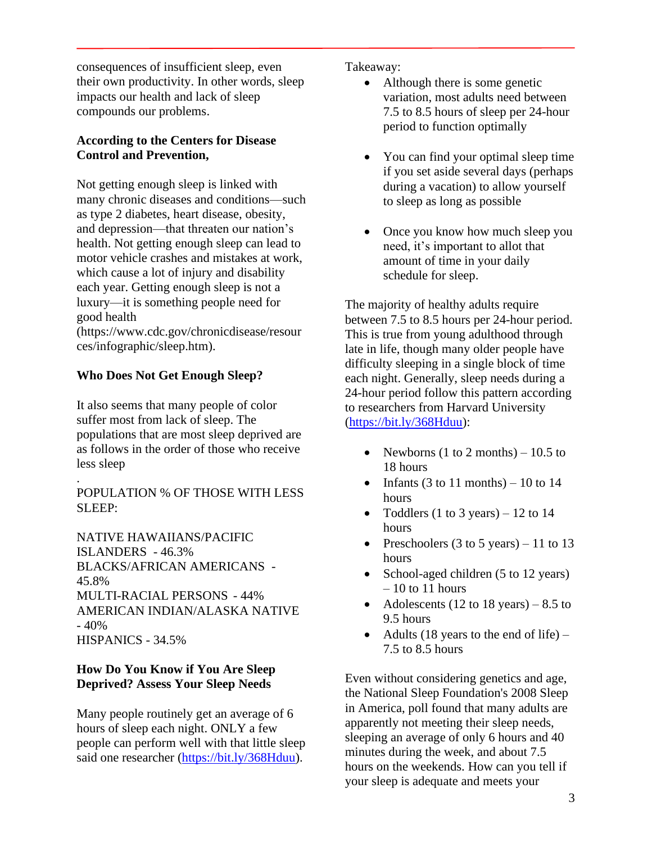consequences of insufficient sleep, even their own productivity. In other words, sleep impacts our health and lack of sleep compounds our problems.

#### **According to the Centers for Disease Control and Prevention,**

Not getting enough sleep is linked with many chronic diseases and conditions—such as type 2 diabetes, heart disease, obesity, and depression—that threaten our nation's health. Not getting enough sleep can lead to motor vehicle crashes and mistakes at work, which cause a lot of injury and disability each year. Getting enough sleep is not a luxury—it is something people need for good health

(https://www.cdc.gov/chronicdisease/resour ces/infographic/sleep.htm).

#### **Who Does Not Get Enough Sleep?**

.

It also seems that many people of color suffer most from lack of sleep. The populations that are most sleep deprived are as follows in the order of those who receive less sleep

POPULATION % OF THOSE WITH LESS SLEEP:

NATIVE HAWAIIANS/PACIFIC ISLANDERS - 46.3% BLACKS/AFRICAN AMERICANS - 45.8% MULTI-RACIAL PERSONS - 44% AMERICAN INDIAN/ALASKA NATIVE  $-40%$ HISPANICS - 34.5%

#### **How Do You Know if You Are Sleep Deprived? Assess Your Sleep Needs**

Many people routinely get an average of 6 hours of sleep each night. ONLY a few people can perform well with that little sleep said one researcher [\(https://bit.ly/368Hduu\)](https://bit.ly/368Hduu).

Takeaway:

- Although there is some genetic variation, most adults need between 7.5 to 8.5 hours of sleep per 24-hour period to function optimally
- You can find your optimal sleep time if you set aside several days (perhaps during a vacation) to allow yourself to sleep as long as possible
- Once you know how much sleep you need, it's important to allot that amount of time in your daily schedule for sleep.

The majority of healthy adults require between 7.5 to 8.5 hours per 24-hour period. This is true from young adulthood through late in life, though many older people have difficulty sleeping in a single block of time each night. Generally, sleep needs during a 24-hour period follow this pattern according to researchers from Harvard University [\(https://bit.ly/368Hduu\)](https://bit.ly/368Hduu):

- Newborns (1 to 2 months)  $-10.5$  to 18 hours
- Infants (3 to 11 months) 10 to 14 hours
- Toddlers (1 to 3 years) 12 to 14 hours
- Preschoolers  $(3 \text{ to } 5 \text{ years}) 11 \text{ to } 13$ hours
- School-aged children (5 to 12 years) – 10 to 11 hours
- Adolescents (12 to 18 years) 8.5 to 9.5 hours
- Adults (18 years to the end of life) 7.5 to 8.5 hours

Even without considering genetics and age, the National Sleep Foundation's 2008 Sleep in America, poll found that many adults are apparently not meeting their sleep needs, sleeping an average of only 6 hours and 40 minutes during the week, and about 7.5 hours on the weekends. How can you tell if your sleep is adequate and meets your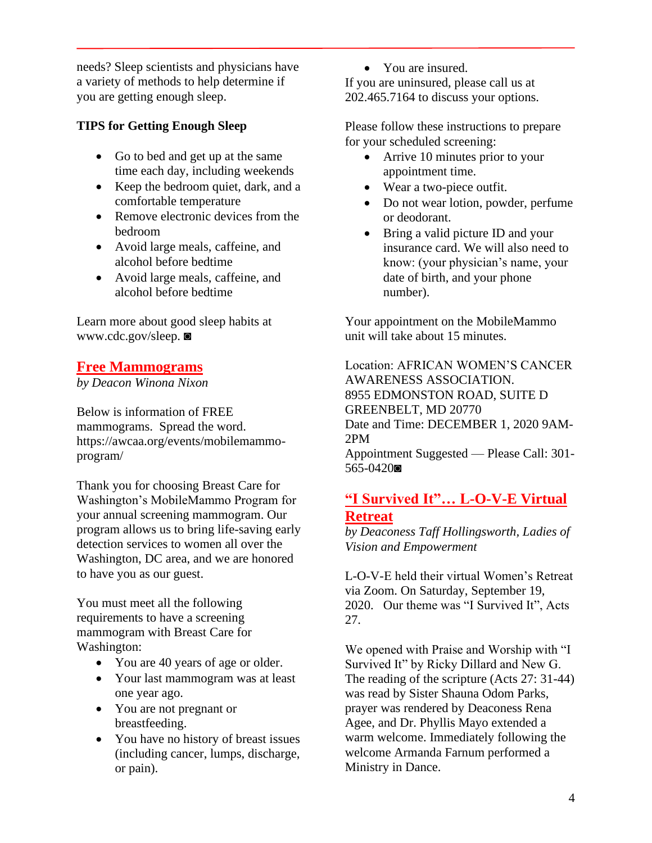needs? Sleep scientists and physicians have a variety of methods to help determine if you are getting enough sleep.

## **TIPS for Getting Enough Sleep**

- Go to bed and get up at the same time each day, including weekends
- Keep the bedroom quiet, dark, and a comfortable temperature
- Remove electronic devices from the bedroom
- Avoid large meals, caffeine, and alcohol before bedtime
- Avoid large meals, caffeine, and alcohol before bedtime

Learn more about good sleep habits at www.cdc.gov/sleep. ◙

## **Free Mammograms**

*by Deacon Winona Nixon*

Below is information of FREE mammograms. Spread the word. https://awcaa.org/events/mobilemammoprogram/

Thank you for choosing Breast Care for Washington's MobileMammo Program for your annual screening mammogram. Our program allows us to bring life-saving early detection services to women all over the Washington, DC area, and we are honored to have you as our guest.

You must meet all the following requirements to have a screening mammogram with Breast Care for Washington:

- You are 40 years of age or older.
- Your last mammogram was at least one year ago.
- You are not pregnant or breastfeeding.
- You have no history of breast issues (including cancer, lumps, discharge, or pain).

• You are insured.

If you are uninsured, please call us at 202.465.7164 to discuss your options.

Please follow these instructions to prepare for your scheduled screening:

- Arrive 10 minutes prior to your appointment time.
- Wear a two-piece outfit.
- Do not wear lotion, powder, perfume or deodorant.
- Bring a valid picture ID and your insurance card. We will also need to know: (your physician's name, your date of birth, and your phone number).

Your appointment on the MobileMammo unit will take about 15 minutes.

Location: AFRICAN WOMEN'S CANCER AWARENESS ASSOCIATION. 8955 EDMONSTON ROAD, SUITE D GREENBELT, MD 20770 Date and Time: DECEMBER 1, 2020 9AM-2PM

Appointment Suggested — Please Call: 301- 565-0420◙

## **"I Survived It"… L-O-V-E Virtual Retreat**

*by Deaconess Taff Hollingsworth, Ladies of Vision and Empowerment*

L-O-V-E held their virtual Women's Retreat via Zoom. On Saturday, September 19, 2020. Our theme was "I Survived It", Acts 27.

We opened with Praise and Worship with "I Survived It" by Ricky Dillard and New G. The reading of the scripture (Acts 27: 31-44) was read by Sister Shauna Odom Parks, prayer was rendered by Deaconess Rena Agee, and Dr. Phyllis Mayo extended a warm welcome. Immediately following the welcome Armanda Farnum performed a Ministry in Dance.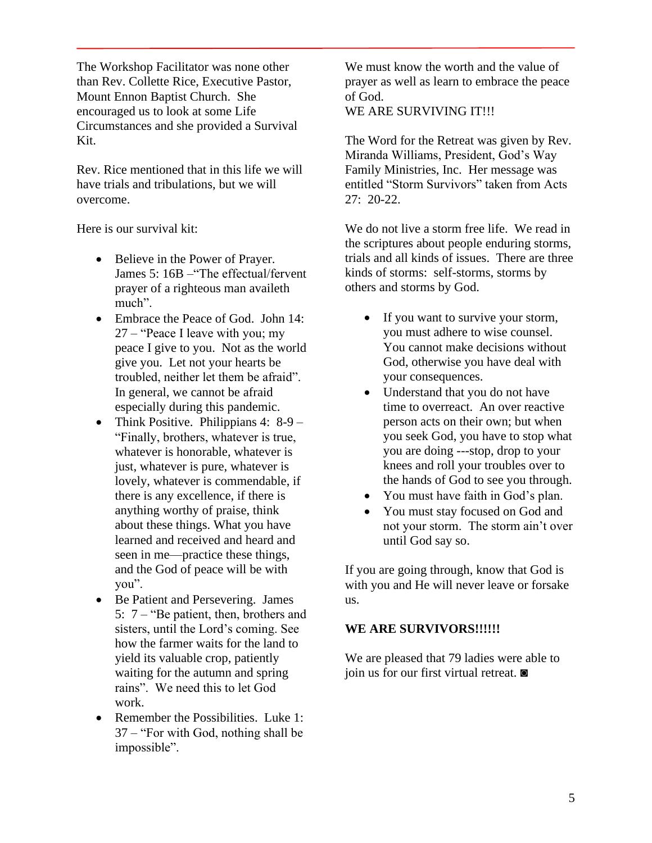The Workshop Facilitator was none other than Rev. Collette Rice, Executive Pastor, Mount Ennon Baptist Church. She encouraged us to look at some Life Circumstances and she provided a Survival Kit.

Rev. Rice mentioned that in this life we will have trials and tribulations, but we will overcome.

Here is our survival kit:

- Believe in the Power of Prayer. James 5: 16B –"The effectual/fervent prayer of a righteous man availeth much".
- Embrace the Peace of God. John 14: 27 – "Peace I leave with you; my peace I give to you. Not as the world give you. Let not your hearts be troubled, neither let them be afraid". In general, we cannot be afraid especially during this pandemic.
- Think Positive. Philippians 4: 8-9 "Finally, brothers, whatever is true, whatever is honorable, whatever is just, whatever is pure, whatever is lovely, whatever is commendable, if there is any excellence, if there is anything worthy of praise, think about these things. What you have learned and received and heard and seen in me—practice these things, and the God of peace will be with you".
- Be Patient and Persevering. James 5: 7 – "Be patient, then, brothers and sisters, until the Lord's coming. See how the farmer waits for the land to yield its valuable crop, patiently waiting for the autumn and spring rains". We need this to let God work.
- Remember the Possibilities. Luke 1: 37 – "For with God, nothing shall be impossible".

We must know the worth and the value of prayer as well as learn to embrace the peace of God.

WE ARE SURVIVING IT!!!

The Word for the Retreat was given by Rev. Miranda Williams, President, God's Way Family Ministries, Inc. Her message was entitled "Storm Survivors" taken from Acts 27: 20-22.

We do not live a storm free life. We read in the scriptures about people enduring storms, trials and all kinds of issues. There are three kinds of storms: self-storms, storms by others and storms by God.

- If you want to survive your storm, you must adhere to wise counsel. You cannot make decisions without God, otherwise you have deal with your consequences.
- Understand that you do not have time to overreact. An over reactive person acts on their own; but when you seek God, you have to stop what you are doing ---stop, drop to your knees and roll your troubles over to the hands of God to see you through.
- You must have faith in God's plan.
- You must stay focused on God and not your storm. The storm ain't over until God say so.

If you are going through, know that God is with you and He will never leave or forsake us.

#### **WE ARE SURVIVORS!!!!!!**

We are pleased that 79 ladies were able to join us for our first virtual retreat. ◙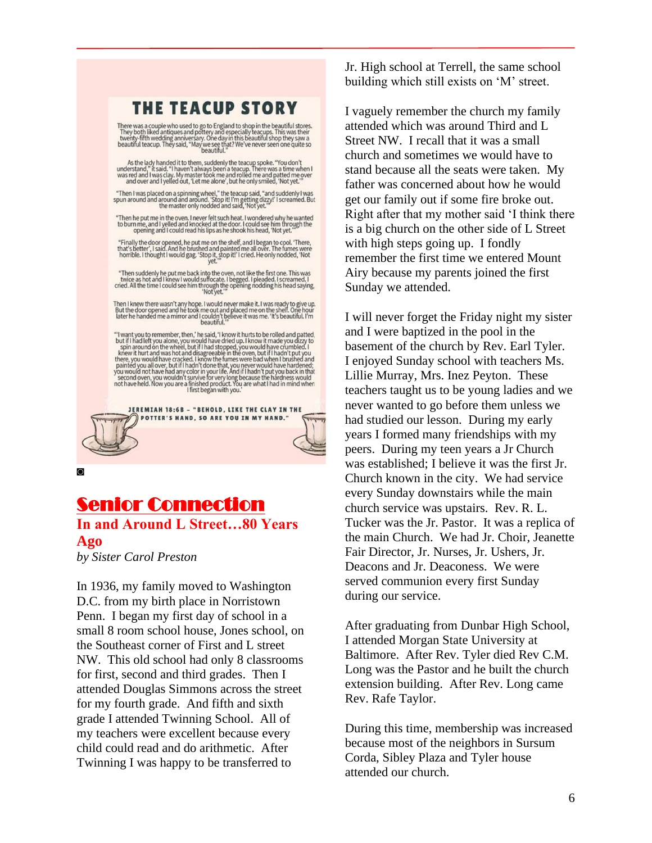## THE TEACUP STORY

There was a couple who used to go to England to shop in the beautiful stores.<br>They both liked antiques and pottery and especially teacups. This was their<br>twenty-fifth wedding anniversary. One day in this beautiful shop the

As the lady handed it to them, suddenly the teacup spoke. "You don't<br>understand," it said. "I haven't always been a teacup. There was a time when I<br>was red and I was clay. My master took me and rolled me and patted me over

"Then I was placed on a spinning wheel," the teacup said, "and suddenly I was spun around and around and around. 'Stop it! I'm getting dizzy!' I screamed. But the master only nodded and said, 'Not yet."

"Then he put me in the oven. I never felt such heat. I wondered why he wanted<br>to burn me, and I yelled and knocked at the door. I could see him through the<br>opening and I could read his lips as he shook his head, 'Not yet.'

"Finally the door opened, he put me on the shelf, and I began to cool. There, that's better', I said. And he brushed and painted me all over. The fumes were horrible. I thought I would gag. 'Stop it!' I cried. He only nodd

"Then suddenly he put me back into the oven, not like the first one. This was<br>twice as hot and I knew I would sufficate. I begged. I pleaded. I screamed. I<br>cried. All the time I could see him through the opening nodding hi

Then I knew there wasn't any hope. I would never make it. I was ready to give up.<br>But the door opened and he took me out and placed me on the shelf. One hour<br>later he handed me a mirror and I couldn't believe it was me. '

"I want you to remember, then," he said, 'I know it hurts to be rolled and patted, but if I had left you alone, you would have dried up. I know it made you dizzy to spin around on the wheel, but if I had stopped, you woul

JEREMIAH 18:6B - "BEHOLD, LIKE THE CLAY IN THE POTTER'S HAND, SO ARE YOU IN MY HAND."

◙

## Senior Connection

**In and Around L Street…80 Years Ago**

*by Sister Carol Preston*

In 1936, my family moved to Washington D.C. from my birth place in Norristown Penn. I began my first day of school in a small 8 room school house, Jones school, on the Southeast corner of First and L street NW. This old school had only 8 classrooms for first, second and third grades. Then I attended Douglas Simmons across the street for my fourth grade. And fifth and sixth grade I attended Twinning School. All of my teachers were excellent because every child could read and do arithmetic. After Twinning I was happy to be transferred to

Jr. High school at Terrell, the same school building which still exists on 'M' street.

I vaguely remember the church my family attended which was around Third and L Street NW. I recall that it was a small church and sometimes we would have to stand because all the seats were taken. My father was concerned about how he would get our family out if some fire broke out. Right after that my mother said 'I think there is a big church on the other side of L Street with high steps going up. I fondly remember the first time we entered Mount Airy because my parents joined the first Sunday we attended.

I will never forget the Friday night my sister and I were baptized in the pool in the basement of the church by Rev. Earl Tyler. I enjoyed Sunday school with teachers Ms. Lillie Murray, Mrs. Inez Peyton. These teachers taught us to be young ladies and we never wanted to go before them unless we had studied our lesson. During my early years I formed many friendships with my peers. During my teen years a Jr Church was established; I believe it was the first Jr. Church known in the city. We had service every Sunday downstairs while the main church service was upstairs. Rev. R. L. Tucker was the Jr. Pastor. It was a replica of the main Church. We had Jr. Choir, Jeanette Fair Director, Jr. Nurses, Jr. Ushers, Jr. Deacons and Jr. Deaconess. We were served communion every first Sunday during our service.

After graduating from Dunbar High School, I attended Morgan State University at Baltimore. After Rev. Tyler died Rev C.M. Long was the Pastor and he built the church extension building. After Rev. Long came Rev. Rafe Taylor.

During this time, membership was increased because most of the neighbors in Sursum Corda, Sibley Plaza and Tyler house attended our church.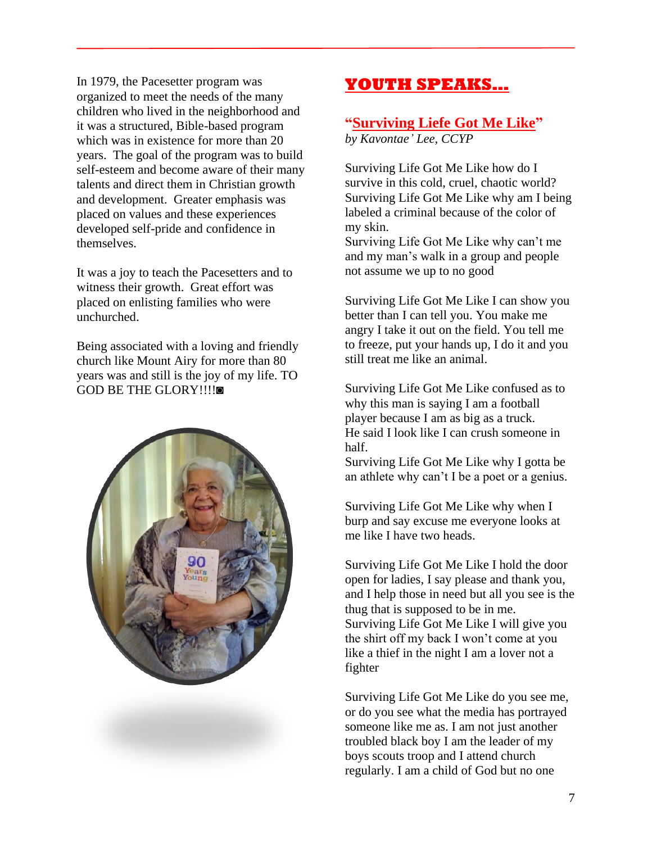In 1979, the Pacesetter program was organized to meet the needs of the many children who lived in the neighborhood and it was a structured, Bible-based program which was in existence for more than 20 years. The goal of the program was to build self-esteem and become aware of their many talents and direct them in Christian growth and development. Greater emphasis was placed on values and these experiences developed self-pride and confidence in themselves.

It was a joy to teach the Pacesetters and to witness their growth. Great effort was placed on enlisting families who were unchurched.

Being associated with a loving and friendly church like Mount Airy for more than 80 years was and still is the joy of my life. TO GOD BE THE GLORY!!!!◙



## **YOUTH SPEAKS…**

## **"Surviving Liefe Got Me Like"**

*by Kavontae' Lee, CCYP*

Surviving Life Got Me Like how do I survive in this cold, cruel, chaotic world? Surviving Life Got Me Like why am I being labeled a criminal because of the color of my skin.

Surviving Life Got Me Like why can't me and my man's walk in a group and people not assume we up to no good

Surviving Life Got Me Like I can show you better than I can tell you. You make me angry I take it out on the field. You tell me to freeze, put your hands up, I do it and you still treat me like an animal.

Surviving Life Got Me Like confused as to why this man is saying I am a football player because I am as big as a truck. He said I look like I can crush someone in half.

Surviving Life Got Me Like why I gotta be an athlete why can't I be a poet or a genius.

Surviving Life Got Me Like why when I burp and say excuse me everyone looks at me like I have two heads.

Surviving Life Got Me Like I hold the door open for ladies, I say please and thank you, and I help those in need but all you see is the thug that is supposed to be in me. Surviving Life Got Me Like I will give you the shirt off my back I won't come at you like a thief in the night I am a lover not a fighter

Surviving Life Got Me Like do you see me, or do you see what the media has portrayed someone like me as. I am not just another troubled black boy I am the leader of my boys scouts troop and I attend church regularly. I am a child of God but no one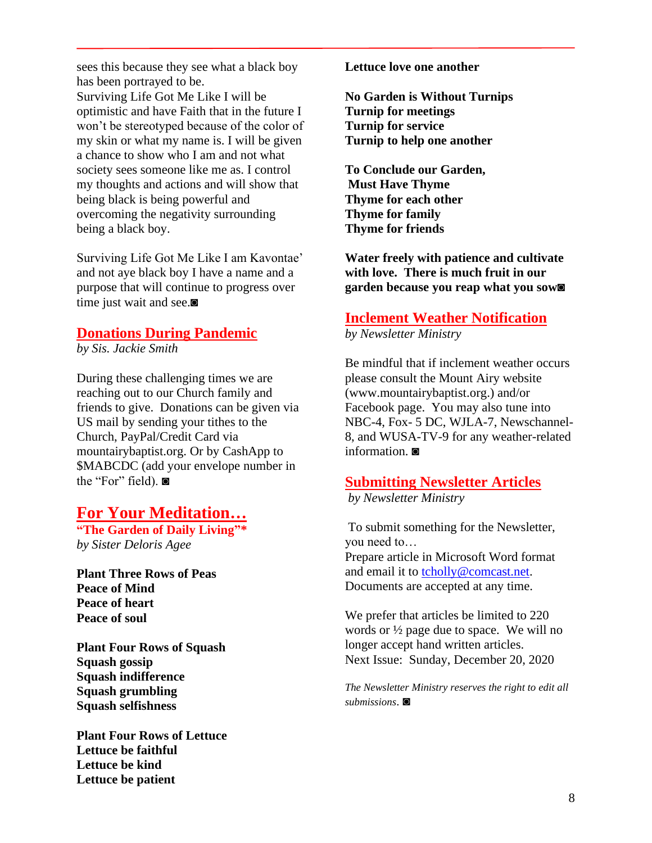sees this because they see what a black boy has been portrayed to be. Surviving Life Got Me Like I will be optimistic and have Faith that in the future I won't be stereotyped because of the color of my skin or what my name is. I will be given a chance to show who I am and not what society sees someone like me as. I control my thoughts and actions and will show that being black is being powerful and overcoming the negativity surrounding being a black boy.

Surviving Life Got Me Like I am Kavontae' and not aye black boy I have a name and a purpose that will continue to progress over time just wait and see.◙

## **Donations During Pandemic**

*by Sis. Jackie Smith*

During these challenging times we are reaching out to our Church family and friends to give. Donations can be given via US mail by sending your tithes to the Church, PayPal/Credit Card via mountairybaptist.org. Or by CashApp to \$MABCDC (add your envelope number in the "For" field). ◙

## **For Your Meditation…**

**"The Garden of Daily Living"\*** *by Sister Deloris Agee*

**Plant Three Rows of Peas Peace of Mind Peace of heart Peace of soul** 

**Plant Four Rows of Squash Squash gossip Squash indifference Squash grumbling Squash selfishness** 

**Plant Four Rows of Lettuce Lettuce be faithful Lettuce be kind Lettuce be patient** 

**Lettuce love one another** 

**No Garden is Without Turnips Turnip for meetings Turnip for service Turnip to help one another** 

**To Conclude our Garden, Must Have Thyme Thyme for each other Thyme for family Thyme for friends** 

**Water freely with patience and cultivate with love. There is much fruit in our garden because you reap what you sow◙**

## **Inclement Weather Notification**

*by Newsletter Ministry*

Be mindful that if inclement weather occurs please consult the Mount Airy website (www.mountairybaptist.org.) and/or Facebook page. You may also tune into NBC-4, Fox- 5 DC, WJLA-7, Newschannel-8, and WUSA-TV-9 for any weather-related information. ◙

## **Submitting Newsletter Articles**

*by Newsletter Ministry*

To submit something for the Newsletter, you need to… Prepare article in Microsoft Word format and email it to **tcholly@comcast.net**. Documents are accepted at any time.

We prefer that articles be limited to 220 words or ½ page due to space. We will no longer accept hand written articles. Next Issue: Sunday, December 20, 2020

*The Newsletter Ministry reserves the right to edit all submissions*. ◙